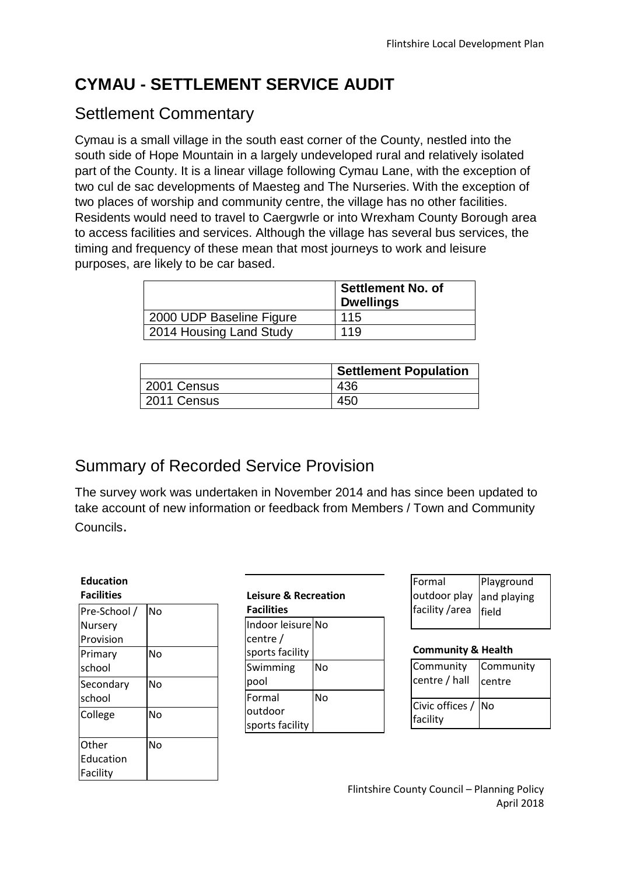# **CYMAU - SETTLEMENT SERVICE AUDIT**

## Settlement Commentary

Cymau is a small village in the south east corner of the County, nestled into the south side of Hope Mountain in a largely undeveloped rural and relatively isolated part of the County. It is a linear village following Cymau Lane, with the exception of two cul de sac developments of Maesteg and The Nurseries. With the exception of two places of worship and community centre, the village has no other facilities. Residents would need to travel to Caergwrle or into Wrexham County Borough area to access facilities and services. Although the village has several bus services, the timing and frequency of these mean that most journeys to work and leisure purposes, are likely to be car based.

|                          | Settlement No. of<br><b>Dwellings</b> |
|--------------------------|---------------------------------------|
| 2000 UDP Baseline Figure | 115                                   |
| 2014 Housing Land Study  | 119                                   |

|             | <b>Settlement Population</b> |
|-------------|------------------------------|
| 2001 Census | 436                          |
| 2011 Census | 450                          |

# Summary of Recorded Service Provision

The survey work was undertaken in November 2014 and has since been updated to take account of new information or feedback from Members / Town and Community Councils.

| <b>Education</b>                     |    |
|--------------------------------------|----|
| <b>Facilities</b>                    |    |
| Pre-School /<br>Nursery<br>Provision | No |
| Primary<br>school                    | No |
| Secondary<br>school                  | No |
| College                              | No |
| Other<br>Education<br>Facility       | No |

| <b>Leisure &amp; Recreation</b><br><b>Facilities</b> |    |
|------------------------------------------------------|----|
| Indoor leisure No                                    |    |
| centre /                                             |    |
| sports facility                                      |    |
| Swimming                                             | N٥ |
| pool                                                 |    |
| Formal                                               | N٥ |
| outdoor                                              |    |
| sports facility                                      |    |

| Formal                                             | Playground |
|----------------------------------------------------|------------|
| outdoor play and playing<br>facility /area   field |            |
|                                                    |            |

#### **Community & Health**

| Community                      | Community |
|--------------------------------|-----------|
| centre / hall                  | centre    |
| Civic offices / No<br>facility |           |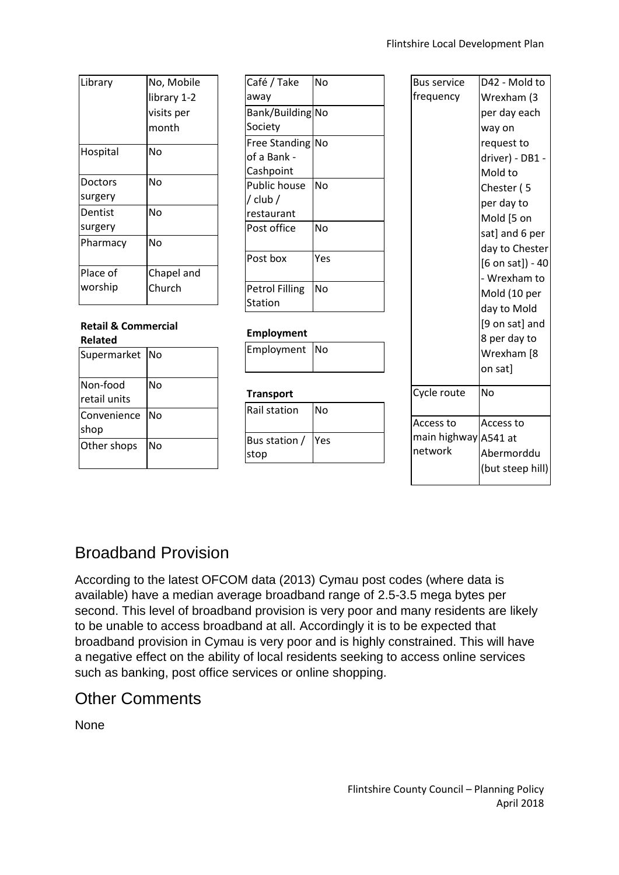| Library             | No, Mobile<br>library 1-2<br>visits per<br>month |
|---------------------|--------------------------------------------------|
| Hospital            | No                                               |
| Doctors<br>surgery  | No                                               |
| Dentist<br>surgery  | No                                               |
| Pharmacy            | No                                               |
| Place of<br>worship | Chapel and<br>Church                             |

#### **Retail & Commercial Related**

| Supermarket No           |    |
|--------------------------|----|
| Non-food<br>retail units | No |
| Convenience<br>shop      | No |
| Other shops              | No |

| Café / Take           | No         |
|-----------------------|------------|
| away                  |            |
| Bank/Building No      |            |
| Society               |            |
| <b>Free Standing</b>  | <b>INo</b> |
| of a Bank -           |            |
| Cashpoint             |            |
| Public house          | N٥         |
| / club /              |            |
| restaurant            |            |
| Post office           | No         |
|                       |            |
| Post box              | Yes        |
|                       |            |
| <b>Petrol Filling</b> | No         |
| Station               |            |

#### **Employment**

| Employment No |  |
|---------------|--|
|               |  |

#### **Transport**

| lRail station | .No         |
|---------------|-------------|
| Bus station / | <b>P</b> es |
| Istop         |             |

| D42 - Mold to                  |
|--------------------------------|
| Wrexham (3                     |
| per day each                   |
| way on                         |
| request to                     |
| driver) - DB1 -                |
| Mold to                        |
| Chester (5                     |
| per day to                     |
| Mold [5 on                     |
| sat] and 6 per                 |
| day to Chester                 |
| [6 on sat]) - 40               |
| - Wrexham to                   |
| Mold (10 per                   |
| day to Mold                    |
| [9 on sat] and                 |
| 8 per day to                   |
| Wrexham [8                     |
| on sat]                        |
|                                |
| No                             |
|                                |
| Access to                      |
|                                |
| main highway A541 at           |
| Abermorddu<br>(but steep hill) |
|                                |

# Broadband Provision

According to the latest OFCOM data (2013) Cymau post codes (where data is available) have a median average broadband range of 2.5-3.5 mega bytes per second. This level of broadband provision is very poor and many residents are likely to be unable to access broadband at all. Accordingly it is to be expected that broadband provision in Cymau is very poor and is highly constrained. This will have a negative effect on the ability of local residents seeking to access online services such as banking, post office services or online shopping.

### Other Comments

None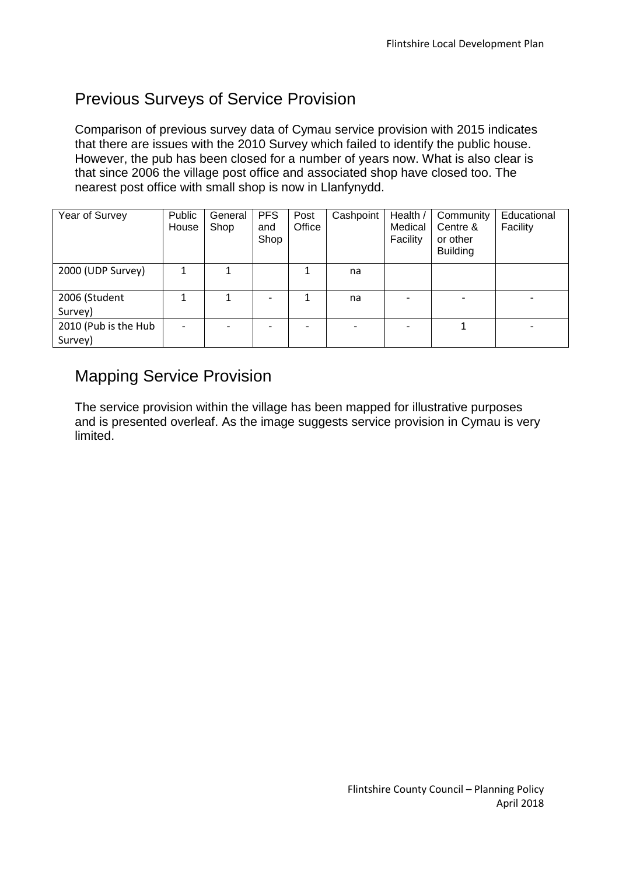### Previous Surveys of Service Provision

Comparison of previous survey data of Cymau service provision with 2015 indicates that there are issues with the 2010 Survey which failed to identify the public house. However, the pub has been closed for a number of years now. What is also clear is that since 2006 the village post office and associated shop have closed too. The nearest post office with small shop is now in Llanfynydd.

| Year of Survey       | Public<br>House | General<br>Shop | <b>PFS</b><br>and<br>Shop | Post<br>Office | Cashpoint | Health /<br>Medical<br>Facility | Community<br>Centre &<br>or other<br><b>Building</b> | Educational<br>Facility |
|----------------------|-----------------|-----------------|---------------------------|----------------|-----------|---------------------------------|------------------------------------------------------|-------------------------|
| 2000 (UDP Survey)    |                 |                 |                           |                | na        |                                 |                                                      |                         |
| 2006 (Student        |                 |                 | $\overline{\phantom{0}}$  |                | na        |                                 |                                                      |                         |
| Survey)              |                 |                 |                           |                |           |                                 |                                                      |                         |
| 2010 (Pub is the Hub |                 |                 | -                         |                |           |                                 |                                                      | -                       |
| Survey)              |                 |                 |                           |                |           |                                 |                                                      |                         |

### Mapping Service Provision

The service provision within the village has been mapped for illustrative purposes and is presented overleaf. As the image suggests service provision in Cymau is very limited.